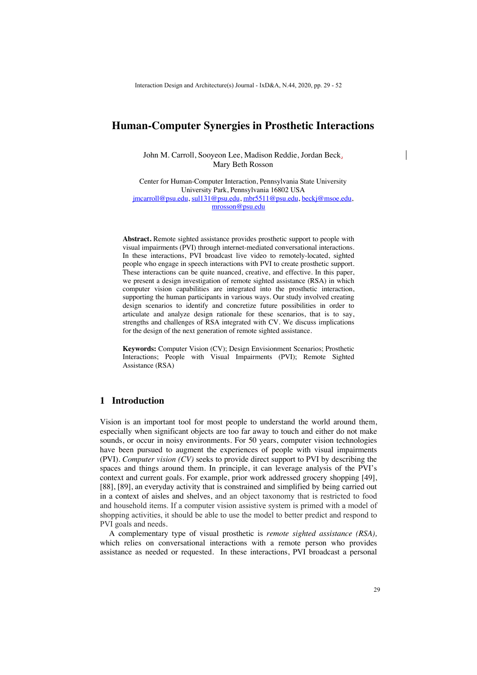# **Human-Computer Synergies in Prosthetic Interactions**

John M. Carroll, Sooyeon Lee, Madison Reddie, Jordan Beck, Mary Beth Rosson

Center for Human-Computer Interaction, Pennsylvania State University University Park, Pennsylvania 16802 USA jmcarroll@psu.edu, sul131@psu.edu, mbr5511@psu.edu, beckj@msoe.edu, mrosson@psu.edu

**Abstract.** Remote sighted assistance provides prosthetic support to people with visual impairments (PVI) through internet-mediated conversational interactions. In these interactions, PVI broadcast live video to remotely-located, sighted people who engage in speech interactions with PVI to create prosthetic support. These interactions can be quite nuanced, creative, and effective. In this paper, we present a design investigation of remote sighted assistance (RSA) in which computer vision capabilities are integrated into the prosthetic interaction, supporting the human participants in various ways. Our study involved creating design scenarios to identify and concretize future possibilities in order to articulate and analyze design rationale for these scenarios, that is to say, strengths and challenges of RSA integrated with CV. We discuss implications for the design of the next generation of remote sighted assistance.

**Keywords:** Computer Vision (CV); Design Envisionment Scenarios; Prosthetic Interactions; People with Visual Impairments (PVI); Remote Sighted Assistance (RSA)

# **1 Introduction**

Vision is an important tool for most people to understand the world around them, especially when significant objects are too far away to touch and either do not make sounds, or occur in noisy environments. For 50 years, computer vision technologies have been pursued to augment the experiences of people with visual impairments (PVI). *Computer vision (CV)* seeks to provide direct support to PVI by describing the spaces and things around them. In principle, it can leverage analysis of the PVI's context and current goals. For example, prior work addressed grocery shopping [49], [88], [89], an everyday activity that is constrained and simplified by being carried out in a context of aisles and shelves, and an object taxonomy that is restricted to food and household items. If a computer vision assistive system is primed with a model of shopping activities, it should be able to use the model to better predict and respond to PVI goals and needs.

A complementary type of visual prosthetic is *remote sighted assistance (RSA),* which relies on conversational interactions with a remote person who provides assistance as needed or requested. In these interactions, PVI broadcast a personal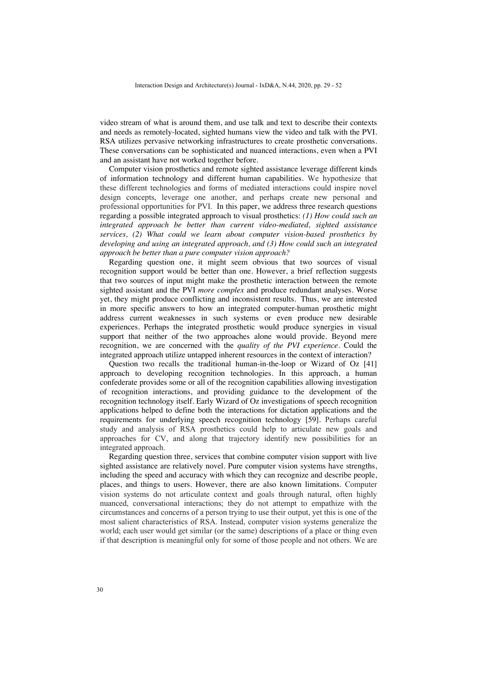video stream of what is around them, and use talk and text to describe their contexts and needs as remotely-located, sighted humans view the video and talk with the PVI. RSA utilizes pervasive networking infrastructures to create prosthetic conversations. These conversations can be sophisticated and nuanced interactions, even when a PVI and an assistant have not worked together before.

Computer vision prosthetics and remote sighted assistance leverage different kinds of information technology and different human capabilities. We hypothesize that these different technologies and forms of mediated interactions could inspire novel design concepts, leverage one another, and perhaps create new personal and professional opportunities for PVI. In this paper, we address three research questions regarding a possible integrated approach to visual prosthetics: *(1) How could such an integrated approach be better than current video-mediated, sighted assistance services, (2) What could we learn about computer vision-based prosthetics by developing and using an integrated approach, and (3) How could such an integrated approach be better than a pure computer vision approach?* 

Regarding question one, it might seem obvious that two sources of visual recognition support would be better than one. However, a brief reflection suggests that two sources of input might make the prosthetic interaction between the remote sighted assistant and the PVI *more complex* and produce redundant analyses. Worse yet, they might produce conflicting and inconsistent results. Thus, we are interested in more specific answers to how an integrated computer-human prosthetic might address current weaknesses in such systems or even produce new desirable experiences. Perhaps the integrated prosthetic would produce synergies in visual support that neither of the two approaches alone would provide. Beyond mere recognition, we are concerned with the *quality of the PVI experience*. Could the integrated approach utilize untapped inherent resources in the context of interaction?

Question two recalls the traditional human-in-the-loop or Wizard of Oz [41] approach to developing recognition technologies. In this approach, a human confederate provides some or all of the recognition capabilities allowing investigation of recognition interactions, and providing guidance to the development of the recognition technology itself. Early Wizard of Oz investigations of speech recognition applications helped to define both the interactions for dictation applications and the requirements for underlying speech recognition technology [59]. Perhaps careful study and analysis of RSA prosthetics could help to articulate new goals and approaches for CV, and along that trajectory identify new possibilities for an integrated approach.

Regarding question three, services that combine computer vision support with live sighted assistance are relatively novel. Pure computer vision systems have strengths, including the speed and accuracy with which they can recognize and describe people, places, and things to users. However, there are also known limitations. Computer vision systems do not articulate context and goals through natural, often highly nuanced, conversational interactions; they do not attempt to empathize with the circumstances and concerns of a person trying to use their output, yet this is one of the most salient characteristics of RSA. Instead, computer vision systems generalize the world; each user would get similar (or the same) descriptions of a place or thing even if that description is meaningful only for some of those people and not others. We are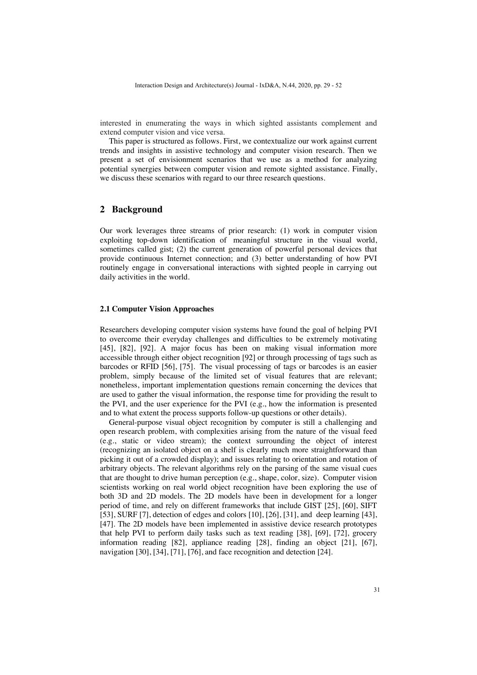interested in enumerating the ways in which sighted assistants complement and extend computer vision and vice versa.

This paper is structured as follows. First, we contextualize our work against current trends and insights in assistive technology and computer vision research. Then we present a set of envisionment scenarios that we use as a method for analyzing potential synergies between computer vision and remote sighted assistance. Finally, we discuss these scenarios with regard to our three research questions.

# **2 Background**

Our work leverages three streams of prior research: (1) work in computer vision exploiting top-down identification of meaningful structure in the visual world, sometimes called gist; (2) the current generation of powerful personal devices that provide continuous Internet connection; and (3) better understanding of how PVI routinely engage in conversational interactions with sighted people in carrying out daily activities in the world.

#### **2.1 Computer Vision Approaches**

Researchers developing computer vision systems have found the goal of helping PVI to overcome their everyday challenges and difficulties to be extremely motivating [45], [82], [92]. A major focus has been on making visual information more accessible through either object recognition [92] or through processing of tags such as barcodes or RFID [56], [75]. The visual processing of tags or barcodes is an easier problem, simply because of the limited set of visual features that are relevant; nonetheless, important implementation questions remain concerning the devices that are used to gather the visual information, the response time for providing the result to the PVI, and the user experience for the PVI (e.g., how the information is presented and to what extent the process supports follow-up questions or other details).

General-purpose visual object recognition by computer is still a challenging and open research problem, with complexities arising from the nature of the visual feed (e.g., static or video stream); the context surrounding the object of interest (recognizing an isolated object on a shelf is clearly much more straightforward than picking it out of a crowded display); and issues relating to orientation and rotation of arbitrary objects. The relevant algorithms rely on the parsing of the same visual cues that are thought to drive human perception (e.g., shape, color, size). Computer vision scientists working on real world object recognition have been exploring the use of both 3D and 2D models. The 2D models have been in development for a longer period of time, and rely on different frameworks that include GIST [25], [60], SIFT [53], SURF [7], detection of edges and colors [10], [26], [31], and deep learning [43], [47]. The 2D models have been implemented in assistive device research prototypes that help PVI to perform daily tasks such as text reading [38], [69], [72], grocery information reading [82], appliance reading [28], finding an object [21], [67], navigation [30], [34], [71], [76], and face recognition and detection [24].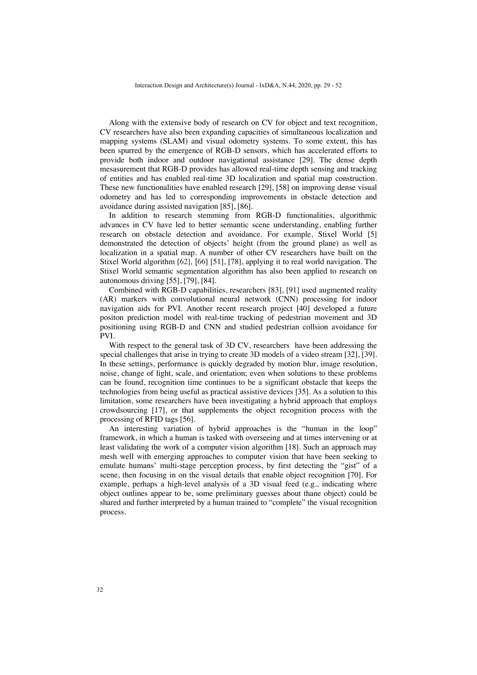Along with the extensive body of research on CV for object and text recognition, CV researchers have also been expanding capacities of simultaneous localization and mapping systems (SLAM) and visual odometry systems. To some extent, this has been spurred by the emergence of RGB-D sensors, which has accelerated efforts to provide both indoor and outdoor navigational assistance [29]. The dense depth mesasurement that RGB-D provides has allowed real-time depth sensing and tracking of entities and has enabled real-time 3D localization and spatial map construction. These new functionalities have enabled research [29], [58] on improving dense visual odometry and has led to corresponding improvements in obstacle detection and avoidance during assisted navigation [85], [86].

In addition to research stemming from RGB-D functionalities, algorithmic advances in CV have led to better semantic scene understanding, enabling further research on obstacle detection and avoidance. For example, Stixel World [5] demonstrated the detection of objects' height (from the ground plane) as well as localization in a spatial map. A number of other CV researchers have built on the Stixel World algorithm [62], [66] [51], [78], applying it to real world navigation. The Stixel World semantic segmentation algorithm has also been applied to research on autonomous driving [55], [79], [84].

Combined with RGB-D capabilities, researchers [83], [91] used augmented reality (AR) markers with convolutional neural network (CNN) processing for indoor navigation aids for PVI. Another recent research project [40] developed a future positon prediction model with real-time tracking of pedestrian movement and 3D positioning using RGB-D and CNN and studied pedestrian collsion avoidance for PVI.

With respect to the general task of 3D CV, researchers have been addressing the special challenges that arise in trying to create 3D models of a video stream [32], [39]. In these settings, performance is quickly degraded by motion blur, image resolution, noise, change of light, scale, and orientation; even when solutions to these problems can be found, recognition time continues to be a significant obstacle that keeps the technologies from being useful as practical assistive devices [35]. As a solution to this limitation, some researchers have been investigating a hybrid approach that employs crowdsourcing [17], or that supplements the object recognition process with the processing of RFID tags [56].

An interesting variation of hybrid approaches is the "human in the loop" framework, in which a human is tasked with overseeing and at times intervening or at least validating the work of a computer vision algorithm [18]. Such an approach may mesh well with emerging approaches to computer vision that have been seeking to emulate humans' multi-stage perception process, by first detecting the "gist" of a scene, then focusing in on the visual details that enable object recognition [70]. For example, perhaps a high-level analysis of a 3D visual feed (e.g., indicating where object outlines appear to be, some preliminary guesses about thane object) could be shared and further interpreted by a human trained to "complete" the visual recognition process.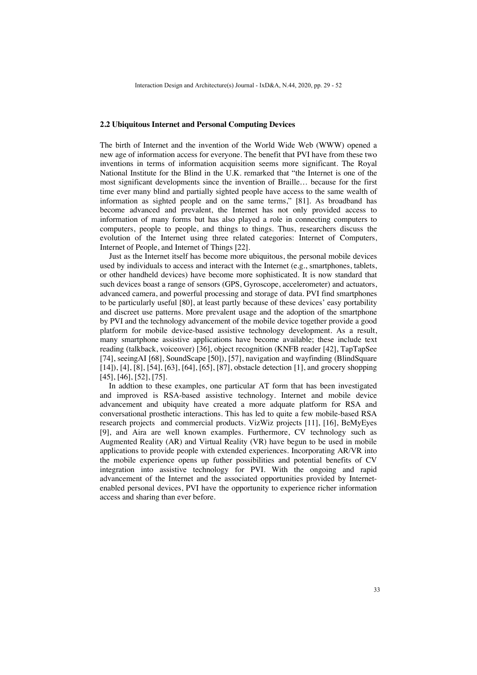#### **2.2 Ubiquitous Internet and Personal Computing Devices**

The birth of Internet and the invention of the World Wide Web (WWW) opened a new age of information access for everyone. The benefit that PVI have from these two inventions in terms of information acquisition seems more significant. The Royal National Institute for the Blind in the U.K. remarked that "the Internet is one of the most significant developments since the invention of Braille… because for the first time ever many blind and partially sighted people have access to the same wealth of information as sighted people and on the same terms," [81]. As broadband has become advanced and prevalent, the Internet has not only provided access to information of many forms but has also played a role in connecting computers to computers, people to people, and things to things. Thus, researchers discuss the evolution of the Internet using three related categories: Internet of Computers, Internet of People, and Internet of Things [22].

Just as the Internet itself has become more ubiquitous, the personal mobile devices used by individuals to access and interact with the Internet (e.g., smartphones, tablets, or other handheld devices) have become more sophisticated. It is now standard that such devices boast a range of sensors (GPS, Gyroscope, accelerometer) and actuators, advanced camera, and powerful processing and storage of data. PVI find smartphones to be particularly useful [80], at least partly because of these devices' easy portability and discreet use patterns. More prevalent usage and the adoption of the smartphone by PVI and the technology advancement of the mobile device together provide a good platform for mobile device-based assistive technology development. As a result, many smartphone assistive applications have become available; these include text reading (talkback, voiceover) [36], object recognition (KNFB reader [42], TapTapSee [74], seeingAI [68], SoundScape [50]), [57], navigation and wayfinding (BlindSquare [14]), [4], [8], [54], [63], [64], [65], [87], obstacle detection [1], and grocery shopping [45], [46], [52], [75].

In addtion to these examples, one particular AT form that has been investigated and improved is RSA-based assistive technology. Internet and mobile device advancement and ubiquity have created a more adquate platform for RSA and conversational prosthetic interactions. This has led to quite a few mobile-based RSA research projects and commercial products. VizWiz projects [11], [16], BeMyEyes [9], and Aira are well known examples. Furthermore, CV technology such as Augmented Reality (AR) and Virtual Reality (VR) have begun to be used in mobile applications to provide people with extended experiences. Incorporating AR/VR into the mobile experience opens up futher possibilities and potential benefits of CV integration into assistive technology for PVI. With the ongoing and rapid advancement of the Internet and the associated opportunities provided by Internetenabled personal devices, PVI have the opportunity to experience richer information access and sharing than ever before.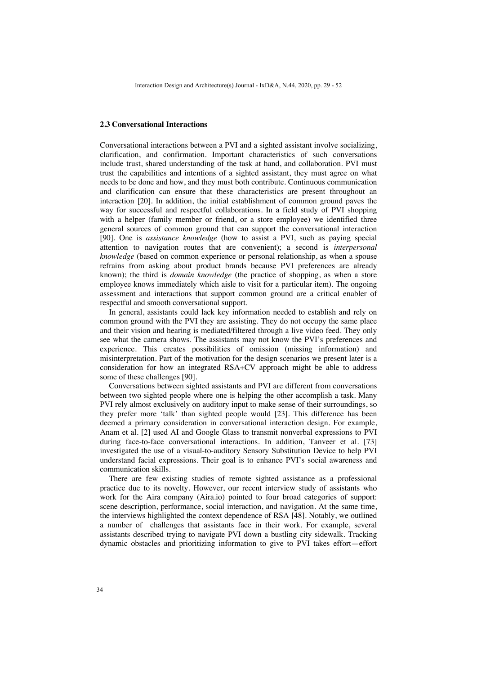#### **2.3 Conversational Interactions**

Conversational interactions between a PVI and a sighted assistant involve socializing, clarification, and confirmation. Important characteristics of such conversations include trust, shared understanding of the task at hand, and collaboration. PVI must trust the capabilities and intentions of a sighted assistant, they must agree on what needs to be done and how, and they must both contribute. Continuous communication and clarification can ensure that these characteristics are present throughout an interaction [20]. In addition, the initial establishment of common ground paves the way for successful and respectful collaborations. In a field study of PVI shopping with a helper (family member or friend, or a store employee) we identified three general sources of common ground that can support the conversational interaction [90]. One is *assistance knowledge* (how to assist a PVI, such as paying special attention to navigation routes that are convenient); a second is *interpersonal knowledge* (based on common experience or personal relationship, as when a spouse refrains from asking about product brands because PVI preferences are already known); the third is *domain knowledge* (the practice of shopping, as when a store employee knows immediately which aisle to visit for a particular item). The ongoing assessment and interactions that support common ground are a critical enabler of respectful and smooth conversational support.

In general, assistants could lack key information needed to establish and rely on common ground with the PVI they are assisting. They do not occupy the same place and their vision and hearing is mediated/filtered through a live video feed. They only see what the camera shows. The assistants may not know the PVI's preferences and experience. This creates possibilities of omission (missing information) and misinterpretation. Part of the motivation for the design scenarios we present later is a consideration for how an integrated RSA+CV approach might be able to address some of these challenges [90].

Conversations between sighted assistants and PVI are different from conversations between two sighted people where one is helping the other accomplish a task. Many PVI rely almost exclusively on auditory input to make sense of their surroundings, so they prefer more 'talk' than sighted people would [23]. This difference has been deemed a primary consideration in conversational interaction design. For example, Anam et al. [2] used AI and Google Glass to transmit nonverbal expressions to PVI during face-to-face conversational interactions. In addition, Tanveer et al. [73] investigated the use of a visual-to-auditory Sensory Substitution Device to help PVI understand facial expressions. Their goal is to enhance PVI's social awareness and communication skills.

There are few existing studies of remote sighted assistance as a professional practice due to its novelty. However, our recent interview study of assistants who work for the Aira company (Aira.io) pointed to four broad categories of support: scene description, performance, social interaction, and navigation. At the same time, the interviews highlighted the context dependence of RSA [48]. Notably, we outlined a number of challenges that assistants face in their work. For example, several assistants described trying to navigate PVI down a bustling city sidewalk. Tracking dynamic obstacles and prioritizing information to give to PVI takes effort—effort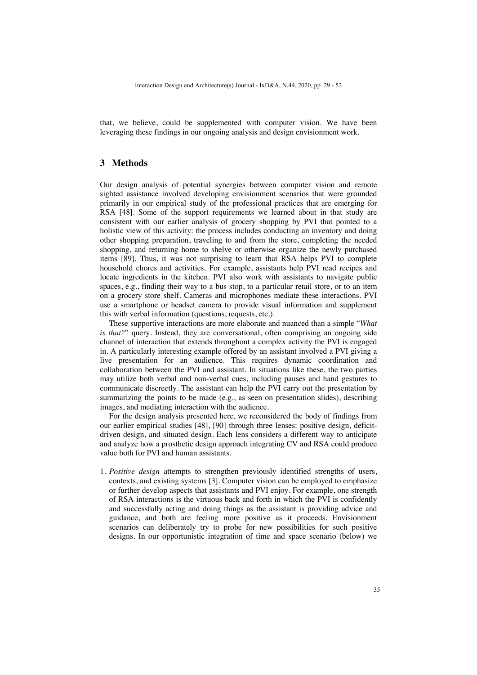that, we believe, could be supplemented with computer vision. We have been leveraging these findings in our ongoing analysis and design envisionment work.

## **3 Methods**

Our design analysis of potential synergies between computer vision and remote sighted assistance involved developing envisionment scenarios that were grounded primarily in our empirical study of the professional practices that are emerging for RSA [48]. Some of the support requirements we learned about in that study are consistent with our earlier analysis of grocery shopping by PVI that pointed to a holistic view of this activity: the process includes conducting an inventory and doing other shopping preparation, traveling to and from the store, completing the needed shopping, and returning home to shelve or otherwise organize the newly purchased items [89]. Thus, it was not surprising to learn that RSA helps PVI to complete household chores and activities. For example, assistants help PVI read recipes and locate ingredients in the kitchen. PVI also work with assistants to navigate public spaces, e.g., finding their way to a bus stop, to a particular retail store, or to an item on a grocery store shelf. Cameras and microphones mediate these interactions. PVI use a smartphone or headset camera to provide visual information and supplement this with verbal information (questions, requests, etc.).

These supportive interactions are more elaborate and nuanced than a simple "*What is that?*" query. Instead, they are conversational, often comprising an ongoing side channel of interaction that extends throughout a complex activity the PVI is engaged in. A particularly interesting example offered by an assistant involved a PVI giving a live presentation for an audience. This requires dynamic coordination and collaboration between the PVI and assistant. In situations like these, the two parties may utilize both verbal and non-verbal cues, including pauses and hand gestures to communicate discreetly. The assistant can help the PVI carry out the presentation by summarizing the points to be made (e.g., as seen on presentation slides), describing images, and mediating interaction with the audience.

For the design analysis presented here, we reconsidered the body of findings from our earlier empirical studies [48], [90] through three lenses: positive design, deficitdriven design, and situated design. Each lens considers a different way to anticipate and analyze how a prosthetic design approach integrating CV and RSA could produce value both for PVI and human assistants.

1. *Positive design* attempts to strengthen previously identified strengths of users, contexts, and existing systems [3]. Computer vision can be employed to emphasize or further develop aspects that assistants and PVI enjoy. For example, one strength of RSA interactions is the virtuous back and forth in which the PVI is confidently and successfully acting and doing things as the assistant is providing advice and guidance, and both are feeling more positive as it proceeds. Envisionment scenarios can deliberately try to probe for new possibilities for such positive designs. In our opportunistic integration of time and space scenario (below) we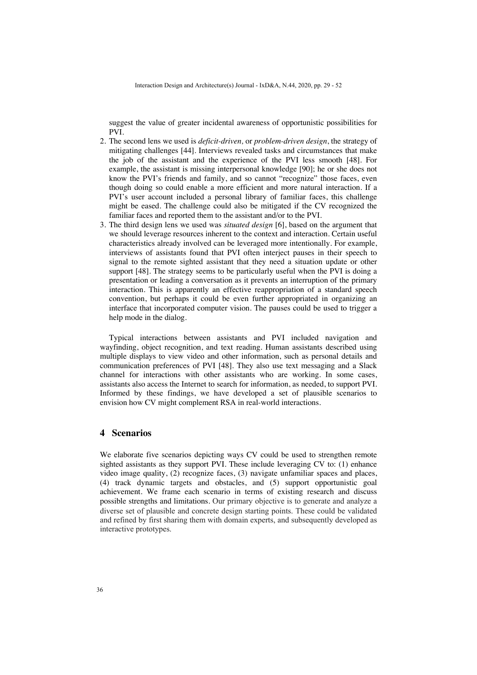suggest the value of greater incidental awareness of opportunistic possibilities for PVI.

- 2. The second lens we used is *deficit-driven,* or *problem-driven design*, the strategy of mitigating challenges [44]. Interviews revealed tasks and circumstances that make the job of the assistant and the experience of the PVI less smooth [48]. For example, the assistant is missing interpersonal knowledge [90]; he or she does not know the PVI's friends and family, and so cannot "recognize" those faces, even though doing so could enable a more efficient and more natural interaction. If a PVI's user account included a personal library of familiar faces, this challenge might be eased. The challenge could also be mitigated if the CV recognized the familiar faces and reported them to the assistant and/or to the PVI.
- 3. The third design lens we used was *situated design* [6], based on the argument that we should leverage resources inherent to the context and interaction. Certain useful characteristics already involved can be leveraged more intentionally. For example, interviews of assistants found that PVI often interject pauses in their speech to signal to the remote sighted assistant that they need a situation update or other support [48]. The strategy seems to be particularly useful when the PVI is doing a presentation or leading a conversation as it prevents an interruption of the primary interaction. This is apparently an effective reappropriation of a standard speech convention, but perhaps it could be even further appropriated in organizing an interface that incorporated computer vision. The pauses could be used to trigger a help mode in the dialog.

Typical interactions between assistants and PVI included navigation and wayfinding, object recognition, and text reading. Human assistants described using multiple displays to view video and other information, such as personal details and communication preferences of PVI [48]. They also use text messaging and a Slack channel for interactions with other assistants who are working. In some cases, assistants also access the Internet to search for information, as needed, to support PVI. Informed by these findings, we have developed a set of plausible scenarios to envision how CV might complement RSA in real-world interactions.

### **4 Scenarios**

We elaborate five scenarios depicting ways CV could be used to strengthen remote sighted assistants as they support PVI. These include leveraging CV to: (1) enhance video image quality, (2) recognize faces, (3) navigate unfamiliar spaces and places, (4) track dynamic targets and obstacles, and (5) support opportunistic goal achievement. We frame each scenario in terms of existing research and discuss possible strengths and limitations. Our primary objective is to generate and analyze a diverse set of plausible and concrete design starting points. These could be validated and refined by first sharing them with domain experts, and subsequently developed as interactive prototypes.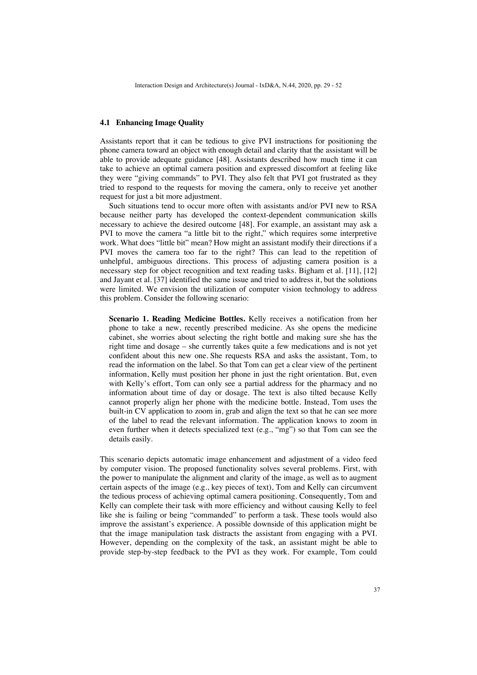#### **4.1 Enhancing Image Quality**

Assistants report that it can be tedious to give PVI instructions for positioning the phone camera toward an object with enough detail and clarity that the assistant will be able to provide adequate guidance [48]. Assistants described how much time it can take to achieve an optimal camera position and expressed discomfort at feeling like they were "giving commands" to PVI. They also felt that PVI got frustrated as they tried to respond to the requests for moving the camera, only to receive yet another request for just a bit more adjustment.

Such situations tend to occur more often with assistants and/or PVI new to RSA because neither party has developed the context-dependent communication skills necessary to achieve the desired outcome [48]. For example, an assistant may ask a PVI to move the camera "a little bit to the right," which requires some interpretive work. What does "little bit" mean? How might an assistant modify their directions if a PVI moves the camera too far to the right? This can lead to the repetition of unhelpful, ambiguous directions. This process of adjusting camera position is a necessary step for object recognition and text reading tasks. Bigham et al. [11], [12] and Jayant et al. [37] identified the same issue and tried to address it, but the solutions were limited. We envision the utilization of computer vision technology to address this problem. Consider the following scenario:

**Scenario 1. Reading Medicine Bottles.** Kelly receives a notification from her phone to take a new, recently prescribed medicine. As she opens the medicine cabinet, she worries about selecting the right bottle and making sure she has the right time and dosage – she currently takes quite a few medications and is not yet confident about this new one. She requests RSA and asks the assistant, Tom, to read the information on the label. So that Tom can get a clear view of the pertinent information, Kelly must position her phone in just the right orientation. But, even with Kelly's effort, Tom can only see a partial address for the pharmacy and no information about time of day or dosage. The text is also tilted because Kelly cannot properly align her phone with the medicine bottle. Instead, Tom uses the built-in CV application to zoom in, grab and align the text so that he can see more of the label to read the relevant information. The application knows to zoom in even further when it detects specialized text (e.g., "mg") so that Tom can see the details easily.

This scenario depicts automatic image enhancement and adjustment of a video feed by computer vision. The proposed functionality solves several problems. First, with the power to manipulate the alignment and clarity of the image, as well as to augment certain aspects of the image (e.g., key pieces of text), Tom and Kelly can circumvent the tedious process of achieving optimal camera positioning. Consequently, Tom and Kelly can complete their task with more efficiency and without causing Kelly to feel like she is failing or being "commanded" to perform a task. These tools would also improve the assistant's experience. A possible downside of this application might be that the image manipulation task distracts the assistant from engaging with a PVI. However, depending on the complexity of the task, an assistant might be able to provide step-by-step feedback to the PVI as they work. For example, Tom could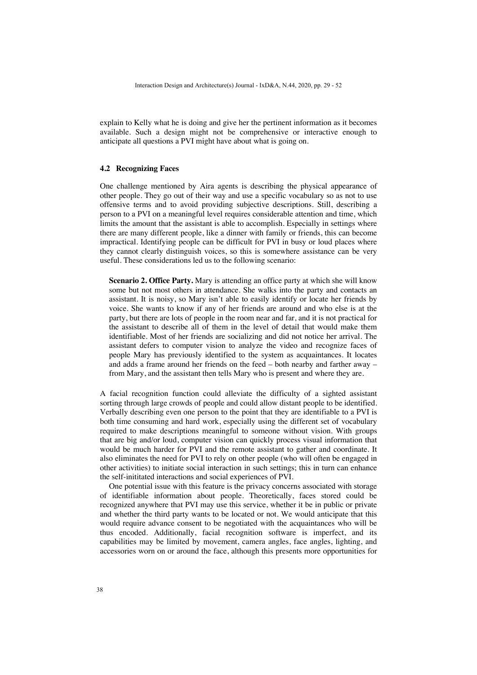explain to Kelly what he is doing and give her the pertinent information as it becomes available. Such a design might not be comprehensive or interactive enough to anticipate all questions a PVI might have about what is going on.

## **4.2 Recognizing Faces**

One challenge mentioned by Aira agents is describing the physical appearance of other people. They go out of their way and use a specific vocabulary so as not to use offensive terms and to avoid providing subjective descriptions. Still, describing a person to a PVI on a meaningful level requires considerable attention and time, which limits the amount that the assistant is able to accomplish. Especially in settings where there are many different people, like a dinner with family or friends, this can become impractical. Identifying people can be difficult for PVI in busy or loud places where they cannot clearly distinguish voices, so this is somewhere assistance can be very useful. These considerations led us to the following scenario:

**Scenario 2. Office Party.** Mary is attending an office party at which she will know some but not most others in attendance. She walks into the party and contacts an assistant. It is noisy, so Mary isn't able to easily identify or locate her friends by voice. She wants to know if any of her friends are around and who else is at the party, but there are lots of people in the room near and far, and it is not practical for the assistant to describe all of them in the level of detail that would make them identifiable. Most of her friends are socializing and did not notice her arrival. The assistant defers to computer vision to analyze the video and recognize faces of people Mary has previously identified to the system as acquaintances. It locates and adds a frame around her friends on the feed – both nearby and farther away – from Mary, and the assistant then tells Mary who is present and where they are.

A facial recognition function could alleviate the difficulty of a sighted assistant sorting through large crowds of people and could allow distant people to be identified. Verbally describing even one person to the point that they are identifiable to a PVI is both time consuming and hard work, especially using the different set of vocabulary required to make descriptions meaningful to someone without vision. With groups that are big and/or loud, computer vision can quickly process visual information that would be much harder for PVI and the remote assistant to gather and coordinate. It also eliminates the need for PVI to rely on other people (who will often be engaged in other activities) to initiate social interaction in such settings; this in turn can enhance the self-inititated interactions and social experiences of PVI.

One potential issue with this feature is the privacy concerns associated with storage of identifiable information about people. Theoretically, faces stored could be recognized anywhere that PVI may use this service, whether it be in public or private and whether the third party wants to be located or not. We would anticipate that this would require advance consent to be negotiated with the acquaintances who will be thus encoded. Additionally, facial recognition software is imperfect, and its capabilities may be limited by movement, camera angles, face angles, lighting, and accessories worn on or around the face, although this presents more opportunities for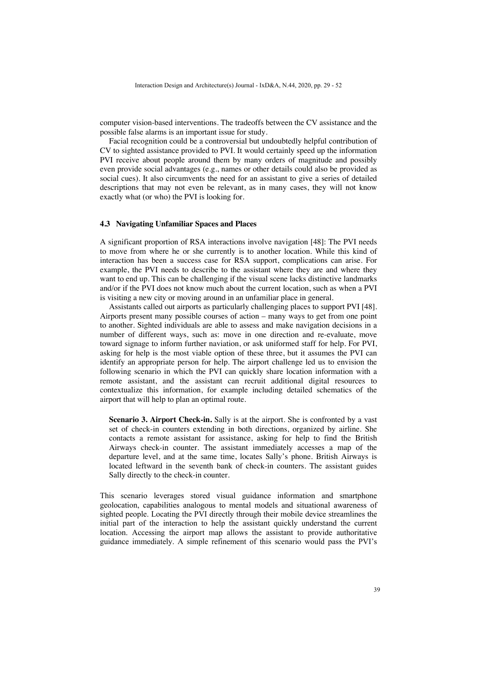computer vision-based interventions. The tradeoffs between the CV assistance and the possible false alarms is an important issue for study.

Facial recognition could be a controversial but undoubtedly helpful contribution of CV to sighted assistance provided to PVI. It would certainly speed up the information PVI receive about people around them by many orders of magnitude and possibly even provide social advantages (e.g., names or other details could also be provided as social cues). It also circumvents the need for an assistant to give a series of detailed descriptions that may not even be relevant, as in many cases, they will not know exactly what (or who) the PVI is looking for.

#### **4.3 Navigating Unfamiliar Spaces and Places**

A significant proportion of RSA interactions involve navigation [48]: The PVI needs to move from where he or she currently is to another location. While this kind of interaction has been a success case for RSA support, complications can arise. For example, the PVI needs to describe to the assistant where they are and where they want to end up. This can be challenging if the visual scene lacks distinctive landmarks and/or if the PVI does not know much about the current location, such as when a PVI is visiting a new city or moving around in an unfamiliar place in general.

Assistants called out airports as particularly challenging places to support PVI [48]. Airports present many possible courses of action – many ways to get from one point to another. Sighted individuals are able to assess and make navigation decisions in a number of different ways, such as: move in one direction and re-evaluate, move toward signage to inform further naviation, or ask uniformed staff for help. For PVI, asking for help is the most viable option of these three, but it assumes the PVI can identify an appropriate person for help. The airport challenge led us to envision the following scenario in which the PVI can quickly share location information with a remote assistant, and the assistant can recruit additional digital resources to contextualize this information, for example including detailed schematics of the airport that will help to plan an optimal route.

**Scenario 3. Airport Check-in.** Sally is at the airport. She is confronted by a vast set of check-in counters extending in both directions, organized by airline. She contacts a remote assistant for assistance, asking for help to find the British Airways check-in counter. The assistant immediately accesses a map of the departure level, and at the same time, locates Sally's phone. British Airways is located leftward in the seventh bank of check-in counters. The assistant guides Sally directly to the check-in counter.

This scenario leverages stored visual guidance information and smartphone geolocation, capabilities analogous to mental models and situational awareness of sighted people. Locating the PVI directly through their mobile device streamlines the initial part of the interaction to help the assistant quickly understand the current location. Accessing the airport map allows the assistant to provide authoritative guidance immediately. A simple refinement of this scenario would pass the PVI's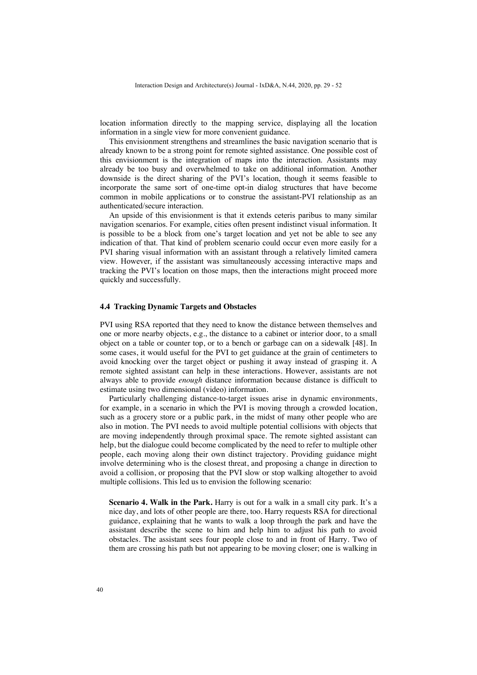location information directly to the mapping service, displaying all the location information in a single view for more convenient guidance.

This envisionment strengthens and streamlines the basic navigation scenario that is already known to be a strong point for remote sighted assistance. One possible cost of this envisionment is the integration of maps into the interaction. Assistants may already be too busy and overwhelmed to take on additional information. Another downside is the direct sharing of the PVI's location, though it seems feasible to incorporate the same sort of one-time opt-in dialog structures that have become common in mobile applications or to construe the assistant-PVI relationship as an authenticated/secure interaction.

An upside of this envisionment is that it extends ceteris paribus to many similar navigation scenarios. For example, cities often present indistinct visual information. It is possible to be a block from one's target location and yet not be able to see any indication of that. That kind of problem scenario could occur even more easily for a PVI sharing visual information with an assistant through a relatively limited camera view. However, if the assistant was simultaneously accessing interactive maps and tracking the PVI's location on those maps, then the interactions might proceed more quickly and successfully.

#### **4.4 Tracking Dynamic Targets and Obstacles**

PVI using RSA reported that they need to know the distance between themselves and one or more nearby objects, e.g., the distance to a cabinet or interior door, to a small object on a table or counter top, or to a bench or garbage can on a sidewalk [48]. In some cases, it would useful for the PVI to get guidance at the grain of centimeters to avoid knocking over the target object or pushing it away instead of grasping it. A remote sighted assistant can help in these interactions. However, assistants are not always able to provide *enough* distance information because distance is difficult to estimate using two dimensional (video) information.

Particularly challenging distance-to-target issues arise in dynamic environments, for example, in a scenario in which the PVI is moving through a crowded location, such as a grocery store or a public park, in the midst of many other people who are also in motion. The PVI needs to avoid multiple potential collisions with objects that are moving independently through proximal space. The remote sighted assistant can help, but the dialogue could become complicated by the need to refer to multiple other people, each moving along their own distinct trajectory. Providing guidance might involve determining who is the closest threat, and proposing a change in direction to avoid a collision, or proposing that the PVI slow or stop walking altogether to avoid multiple collisions. This led us to envision the following scenario:

**Scenario 4. Walk in the Park.** Harry is out for a walk in a small city park. It's a nice day, and lots of other people are there, too. Harry requests RSA for directional guidance, explaining that he wants to walk a loop through the park and have the assistant describe the scene to him and help him to adjust his path to avoid obstacles. The assistant sees four people close to and in front of Harry. Two of them are crossing his path but not appearing to be moving closer; one is walking in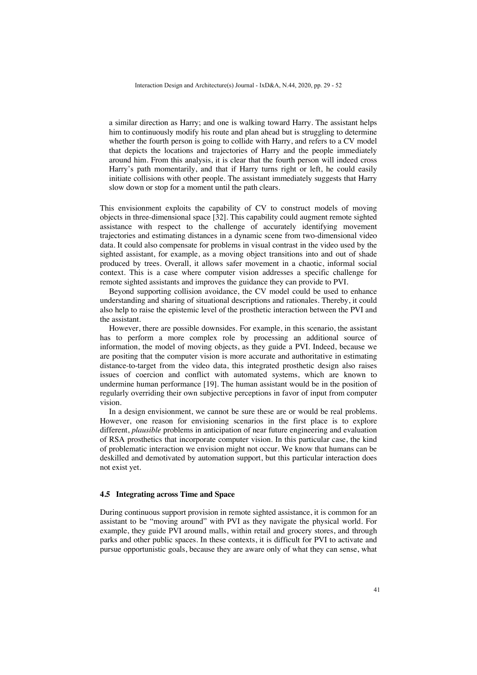a similar direction as Harry; and one is walking toward Harry. The assistant helps him to continuously modify his route and plan ahead but is struggling to determine whether the fourth person is going to collide with Harry, and refers to a CV model that depicts the locations and trajectories of Harry and the people immediately around him. From this analysis, it is clear that the fourth person will indeed cross Harry's path momentarily, and that if Harry turns right or left, he could easily initiate collisions with other people. The assistant immediately suggests that Harry slow down or stop for a moment until the path clears.

This envisionment exploits the capability of CV to construct models of moving objects in three-dimensional space [32]. This capability could augment remote sighted assistance with respect to the challenge of accurately identifying movement trajectories and estimating distances in a dynamic scene from two-dimensional video data. It could also compensate for problems in visual contrast in the video used by the sighted assistant, for example, as a moving object transitions into and out of shade produced by trees. Overall, it allows safer movement in a chaotic, informal social context. This is a case where computer vision addresses a specific challenge for remote sighted assistants and improves the guidance they can provide to PVI.

Beyond supporting collision avoidance, the CV model could be used to enhance understanding and sharing of situational descriptions and rationales. Thereby, it could also help to raise the epistemic level of the prosthetic interaction between the PVI and the assistant.

However, there are possible downsides. For example, in this scenario, the assistant has to perform a more complex role by processing an additional source of information, the model of moving objects, as they guide a PVI. Indeed, because we are positing that the computer vision is more accurate and authoritative in estimating distance-to-target from the video data, this integrated prosthetic design also raises issues of coercion and conflict with automated systems, which are known to undermine human performance [19]. The human assistant would be in the position of regularly overriding their own subjective perceptions in favor of input from computer vision.

In a design envisionment, we cannot be sure these are or would be real problems. However, one reason for envisioning scenarios in the first place is to explore different, *plausible* problems in anticipation of near future engineering and evaluation of RSA prosthetics that incorporate computer vision. In this particular case, the kind of problematic interaction we envision might not occur. We know that humans can be deskilled and demotivated by automation support, but this particular interaction does not exist yet.

#### **4.5 Integrating across Time and Space**

During continuous support provision in remote sighted assistance, it is common for an assistant to be "moving around" with PVI as they navigate the physical world. For example, they guide PVI around malls, within retail and grocery stores, and through parks and other public spaces. In these contexts, it is difficult for PVI to activate and pursue opportunistic goals, because they are aware only of what they can sense, what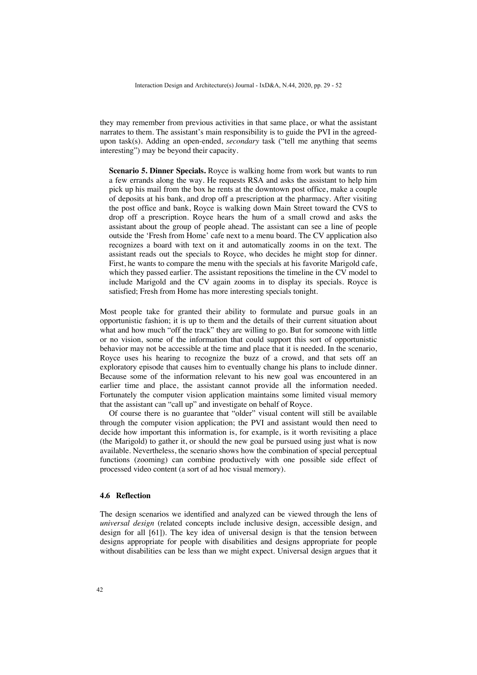they may remember from previous activities in that same place, or what the assistant narrates to them. The assistant's main responsibility is to guide the PVI in the agreedupon task(s). Adding an open-ended, *secondary* task ("tell me anything that seems interesting") may be beyond their capacity.

**Scenario 5. Dinner Specials.** Royce is walking home from work but wants to run a few errands along the way. He requests RSA and asks the assistant to help him pick up his mail from the box he rents at the downtown post office, make a couple of deposits at his bank, and drop off a prescription at the pharmacy. After visiting the post office and bank, Royce is walking down Main Street toward the CVS to drop off a prescription. Royce hears the hum of a small crowd and asks the assistant about the group of people ahead. The assistant can see a line of people outside the 'Fresh from Home' cafe next to a menu board. The CV application also recognizes a board with text on it and automatically zooms in on the text. The assistant reads out the specials to Royce, who decides he might stop for dinner. First, he wants to compare the menu with the specials at his favorite Marigold cafe, which they passed earlier. The assistant repositions the timeline in the CV model to include Marigold and the CV again zooms in to display its specials. Royce is satisfied; Fresh from Home has more interesting specials tonight.

Most people take for granted their ability to formulate and pursue goals in an opportunistic fashion; it is up to them and the details of their current situation about what and how much "off the track" they are willing to go. But for someone with little or no vision, some of the information that could support this sort of opportunistic behavior may not be accessible at the time and place that it is needed. In the scenario, Royce uses his hearing to recognize the buzz of a crowd, and that sets off an exploratory episode that causes him to eventually change his plans to include dinner. Because some of the information relevant to his new goal was encountered in an earlier time and place, the assistant cannot provide all the information needed. Fortunately the computer vision application maintains some limited visual memory that the assistant can "call up" and investigate on behalf of Royce.

Of course there is no guarantee that "older" visual content will still be available through the computer vision application; the PVI and assistant would then need to decide how important this information is, for example, is it worth revisiting a place (the Marigold) to gather it, or should the new goal be pursued using just what is now available. Nevertheless, the scenario shows how the combination of special perceptual functions (zooming) can combine productively with one possible side effect of processed video content (a sort of ad hoc visual memory).

### **4.6 Reflection**

The design scenarios we identified and analyzed can be viewed through the lens of *universal design* (related concepts include inclusive design, accessible design, and design for all [61]). The key idea of universal design is that the tension between designs appropriate for people with disabilities and designs appropriate for people without disabilities can be less than we might expect. Universal design argues that it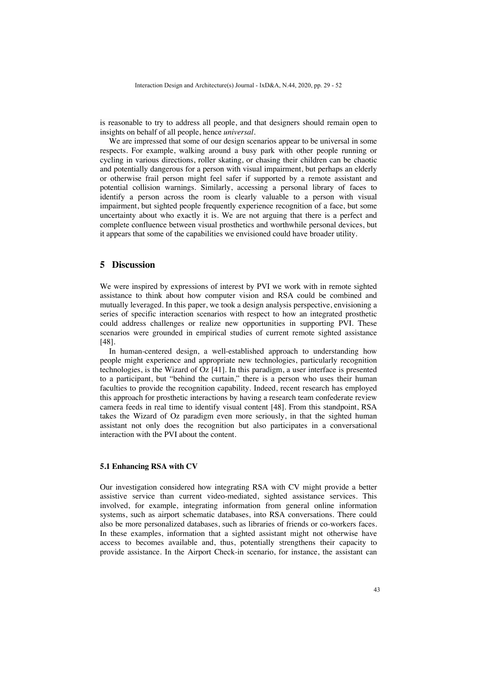is reasonable to try to address all people, and that designers should remain open to insights on behalf of all people, hence *universal*.

We are impressed that some of our design scenarios appear to be universal in some respects. For example, walking around a busy park with other people running or cycling in various directions, roller skating, or chasing their children can be chaotic and potentially dangerous for a person with visual impairment, but perhaps an elderly or otherwise frail person might feel safer if supported by a remote assistant and potential collision warnings. Similarly, accessing a personal library of faces to identify a person across the room is clearly valuable to a person with visual impairment, but sighted people frequently experience recognition of a face, but some uncertainty about who exactly it is. We are not arguing that there is a perfect and complete confluence between visual prosthetics and worthwhile personal devices, but it appears that some of the capabilities we envisioned could have broader utility.

## **5 Discussion**

We were inspired by expressions of interest by PVI we work with in remote sighted assistance to think about how computer vision and RSA could be combined and mutually leveraged. In this paper, we took a design analysis perspective, envisioning a series of specific interaction scenarios with respect to how an integrated prosthetic could address challenges or realize new opportunities in supporting PVI. These scenarios were grounded in empirical studies of current remote sighted assistance [48].

In human-centered design, a well-established approach to understanding how people might experience and appropriate new technologies, particularly recognition technologies, is the Wizard of Oz [41]. In this paradigm, a user interface is presented to a participant, but "behind the curtain," there is a person who uses their human faculties to provide the recognition capability. Indeed, recent research has employed this approach for prosthetic interactions by having a research team confederate review camera feeds in real time to identify visual content [48]. From this standpoint, RSA takes the Wizard of Oz paradigm even more seriously, in that the sighted human assistant not only does the recognition but also participates in a conversational interaction with the PVI about the content.

### **5.1 Enhancing RSA with CV**

Our investigation considered how integrating RSA with CV might provide a better assistive service than current video-mediated, sighted assistance services. This involved, for example, integrating information from general online information systems, such as airport schematic databases, into RSA conversations. There could also be more personalized databases, such as libraries of friends or co-workers faces. In these examples, information that a sighted assistant might not otherwise have access to becomes available and, thus, potentially strengthens their capacity to provide assistance. In the Airport Check-in scenario, for instance, the assistant can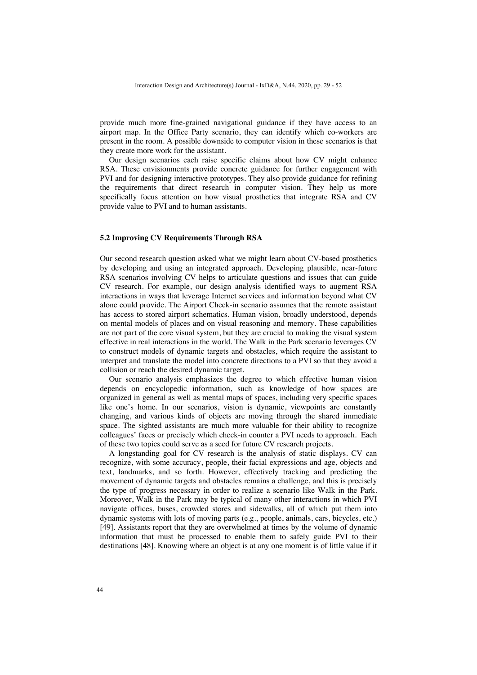provide much more fine-grained navigational guidance if they have access to an airport map. In the Office Party scenario, they can identify which co-workers are present in the room. A possible downside to computer vision in these scenarios is that they create more work for the assistant.

Our design scenarios each raise specific claims about how CV might enhance RSA. These envisionments provide concrete guidance for further engagement with PVI and for designing interactive prototypes. They also provide guidance for refining the requirements that direct research in computer vision. They help us more specifically focus attention on how visual prosthetics that integrate RSA and CV provide value to PVI and to human assistants.

#### **5.2 Improving CV Requirements Through RSA**

Our second research question asked what we might learn about CV-based prosthetics by developing and using an integrated approach. Developing plausible, near-future RSA scenarios involving CV helps to articulate questions and issues that can guide CV research. For example, our design analysis identified ways to augment RSA interactions in ways that leverage Internet services and information beyond what CV alone could provide. The Airport Check-in scenario assumes that the remote assistant has access to stored airport schematics. Human vision, broadly understood, depends on mental models of places and on visual reasoning and memory. These capabilities are not part of the core visual system, but they are crucial to making the visual system effective in real interactions in the world. The Walk in the Park scenario leverages CV to construct models of dynamic targets and obstacles, which require the assistant to interpret and translate the model into concrete directions to a PVI so that they avoid a collision or reach the desired dynamic target.

Our scenario analysis emphasizes the degree to which effective human vision depends on encyclopedic information, such as knowledge of how spaces are organized in general as well as mental maps of spaces, including very specific spaces like one's home. In our scenarios, vision is dynamic, viewpoints are constantly changing, and various kinds of objects are moving through the shared immediate space. The sighted assistants are much more valuable for their ability to recognize colleagues' faces or precisely which check-in counter a PVI needs to approach. Each of these two topics could serve as a seed for future CV research projects.

A longstanding goal for CV research is the analysis of static displays. CV can recognize, with some accuracy, people, their facial expressions and age, objects and text, landmarks, and so forth. However, effectively tracking and predicting the movement of dynamic targets and obstacles remains a challenge, and this is precisely the type of progress necessary in order to realize a scenario like Walk in the Park. Moreover, Walk in the Park may be typical of many other interactions in which PVI navigate offices, buses, crowded stores and sidewalks, all of which put them into dynamic systems with lots of moving parts (e.g., people, animals, cars, bicycles, etc.) [49]. Assistants report that they are overwhelmed at times by the volume of dynamic information that must be processed to enable them to safely guide PVI to their destinations [48]. Knowing where an object is at any one moment is of little value if it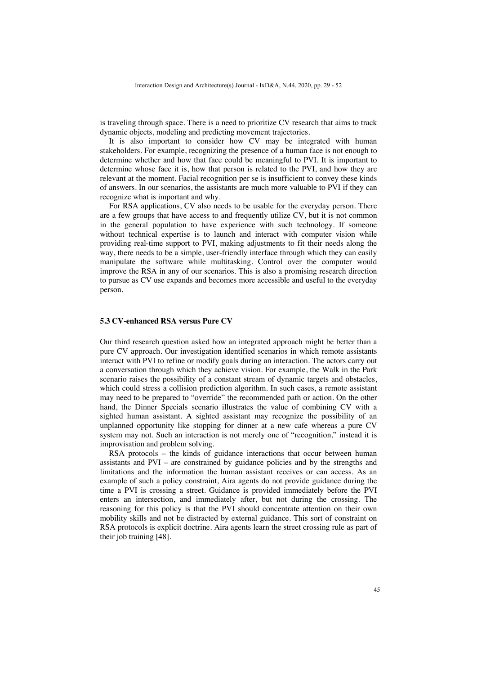is traveling through space. There is a need to prioritize CV research that aims to track dynamic objects, modeling and predicting movement trajectories.

It is also important to consider how CV may be integrated with human stakeholders. For example, recognizing the presence of a human face is not enough to determine whether and how that face could be meaningful to PVI. It is important to determine whose face it is, how that person is related to the PVI, and how they are relevant at the moment. Facial recognition per se is insufficient to convey these kinds of answers. In our scenarios, the assistants are much more valuable to PVI if they can recognize what is important and why.

For RSA applications, CV also needs to be usable for the everyday person. There are a few groups that have access to and frequently utilize CV, but it is not common in the general population to have experience with such technology. If someone without technical expertise is to launch and interact with computer vision while providing real-time support to PVI, making adjustments to fit their needs along the way, there needs to be a simple, user-friendly interface through which they can easily manipulate the software while multitasking. Control over the computer would improve the RSA in any of our scenarios. This is also a promising research direction to pursue as CV use expands and becomes more accessible and useful to the everyday person.

### **5.3 CV-enhanced RSA versus Pure CV**

Our third research question asked how an integrated approach might be better than a pure CV approach. Our investigation identified scenarios in which remote assistants interact with PVI to refine or modify goals during an interaction. The actors carry out a conversation through which they achieve vision. For example, the Walk in the Park scenario raises the possibility of a constant stream of dynamic targets and obstacles, which could stress a collision prediction algorithm. In such cases, a remote assistant may need to be prepared to "override" the recommended path or action. On the other hand, the Dinner Specials scenario illustrates the value of combining CV with a sighted human assistant. A sighted assistant may recognize the possibility of an unplanned opportunity like stopping for dinner at a new cafe whereas a pure CV system may not. Such an interaction is not merely one of "recognition," instead it is improvisation and problem solving.

RSA protocols – the kinds of guidance interactions that occur between human assistants and PVI – are constrained by guidance policies and by the strengths and limitations and the information the human assistant receives or can access. As an example of such a policy constraint, Aira agents do not provide guidance during the time a PVI is crossing a street. Guidance is provided immediately before the PVI enters an intersection, and immediately after, but not during the crossing. The reasoning for this policy is that the PVI should concentrate attention on their own mobility skills and not be distracted by external guidance. This sort of constraint on RSA protocols is explicit doctrine. Aira agents learn the street crossing rule as part of their job training [48].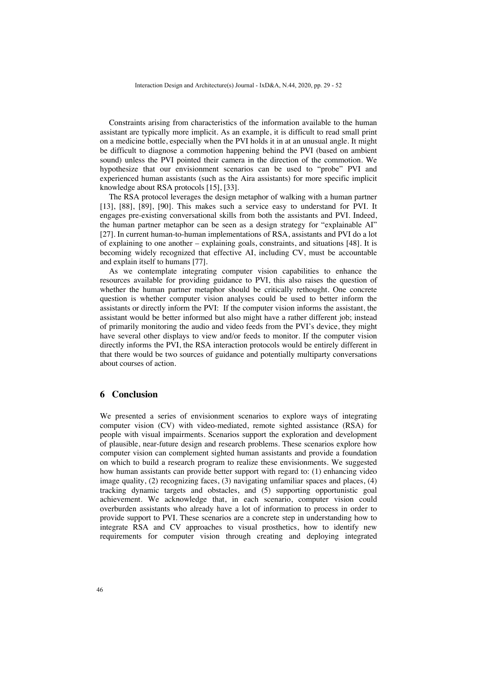Constraints arising from characteristics of the information available to the human assistant are typically more implicit. As an example, it is difficult to read small print on a medicine bottle, especially when the PVI holds it in at an unusual angle. It might be difficult to diagnose a commotion happening behind the PVI (based on ambient sound) unless the PVI pointed their camera in the direction of the commotion. We hypothesize that our envisionment scenarios can be used to "probe" PVI and experienced human assistants (such as the Aira assistants) for more specific implicit knowledge about RSA protocols [15], [33].

The RSA protocol leverages the design metaphor of walking with a human partner [13], [88], [89], [90]. This makes such a service easy to understand for PVI. It engages pre-existing conversational skills from both the assistants and PVI. Indeed, the human partner metaphor can be seen as a design strategy for "explainable AI" [27]. In current human-to-human implementations of RSA, assistants and PVI do a lot of explaining to one another – explaining goals, constraints, and situations [48]. It is becoming widely recognized that effective AI, including CV, must be accountable and explain itself to humans [77].

As we contemplate integrating computer vision capabilities to enhance the resources available for providing guidance to PVI, this also raises the question of whether the human partner metaphor should be critically rethought. One concrete question is whether computer vision analyses could be used to better inform the assistants or directly inform the PVI: If the computer vision informs the assistant, the assistant would be better informed but also might have a rather different job; instead of primarily monitoring the audio and video feeds from the PVI's device, they might have several other displays to view and/or feeds to monitor. If the computer vision directly informs the PVI, the RSA interaction protocols would be entirely different in that there would be two sources of guidance and potentially multiparty conversations about courses of action.

### **6 Conclusion**

We presented a series of envisionment scenarios to explore ways of integrating computer vision (CV) with video-mediated, remote sighted assistance (RSA) for people with visual impairments. Scenarios support the exploration and development of plausible, near-future design and research problems. These scenarios explore how computer vision can complement sighted human assistants and provide a foundation on which to build a research program to realize these envisionments. We suggested how human assistants can provide better support with regard to: (1) enhancing video image quality, (2) recognizing faces, (3) navigating unfamiliar spaces and places, (4) tracking dynamic targets and obstacles, and (5) supporting opportunistic goal achievement. We acknowledge that, in each scenario, computer vision could overburden assistants who already have a lot of information to process in order to provide support to PVI. These scenarios are a concrete step in understanding how to integrate RSA and CV approaches to visual prosthetics, how to identify new requirements for computer vision through creating and deploying integrated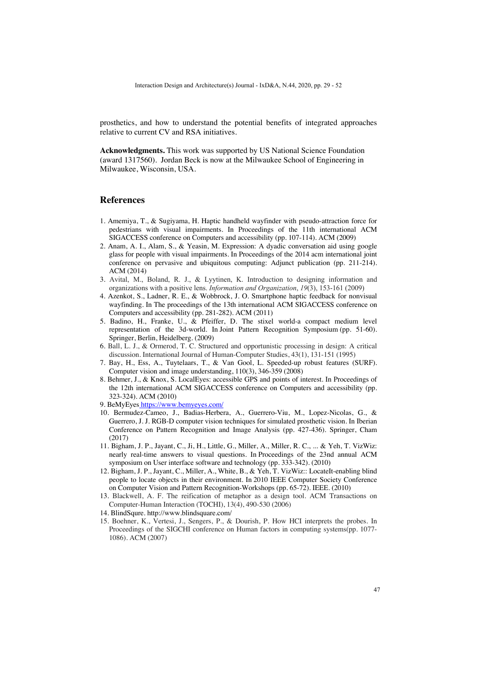prosthetics, and how to understand the potential benefits of integrated approaches relative to current CV and RSA initiatives.

**Acknowledgments.** This work was supported by US National Science Foundation (award 1317560). Jordan Beck is now at the Milwaukee School of Engineering in Milwaukee, Wisconsin, USA.

# **References**

- 1. Amemiya, T., & Sugiyama, H. Haptic handheld wayfinder with pseudo-attraction force for pedestrians with visual impairments. In Proceedings of the 11th international ACM SIGACCESS conference on Computers and accessibility (pp. 107-114). ACM (2009)
- 2. Anam, A. I., Alam, S., & Yeasin, M. Expression: A dyadic conversation aid using google glass for people with visual impairments. In Proceedings of the 2014 acm international joint conference on pervasive and ubiquitous computing: Adjunct publication (pp. 211-214). ACM (2014)
- 3. Avital, M., Boland, R. J., & Lyytinen, K. Introduction to designing information and organizations with a positive lens. *Information and Organization*, *19*(3), 153-161 (2009)
- 4. Azenkot, S., Ladner, R. E., & Wobbrock, J. O. Smartphone haptic feedback for nonvisual wayfinding. In The proceedings of the 13th international ACM SIGACCESS conference on Computers and accessibility (pp. 281-282). ACM (2011)
- 5. Badino, H., Franke, U., & Pfeiffer, D. The stixel world-a compact medium level representation of the 3d-world. In Joint Pattern Recognition Symposium (pp. 51-60). Springer, Berlin, Heidelberg. (2009)
- 6. Ball, L. J., & Ormerod, T. C. Structured and opportunistic processing in design: A critical discussion. International Journal of Human-Computer Studies, 43(1), 131-151 (1995)
- 7. Bay, H., Ess, A., Tuytelaars, T., & Van Gool, L. Speeded-up robust features (SURF). Computer vision and image understanding, 110(3), 346-359 (2008)
- 8. Behmer, J., & Knox, S. LocalEyes: accessible GPS and points of interest. In Proceedings of the 12th international ACM SIGACCESS conference on Computers and accessibility (pp. 323-324). ACM (2010)
- 9. BeMyEyes https://www.bemyeyes.com/
- 10. Bermudez-Cameo, J., Badias-Herbera, A., Guerrero-Viu, M., Lopez-Nicolas, G., & Guerrero, J. J. RGB-D computer vision techniques for simulated prosthetic vision. In Iberian Conference on Pattern Recognition and Image Analysis (pp. 427-436). Springer, Cham (2017)
- 11. Bigham, J. P., Jayant, C., Ji, H., Little, G., Miller, A., Miller, R. C., ... & Yeh, T. VizWiz: nearly real-time answers to visual questions. In Proceedings of the 23nd annual ACM symposium on User interface software and technology (pp. 333-342). (2010)
- 12. Bigham, J. P., Jayant, C., Miller, A., White, B., & Yeh, T. VizWiz:: LocateIt-enabling blind people to locate objects in their environment. In 2010 IEEE Computer Society Conference on Computer Vision and Pattern Recognition-Workshops (pp. 65-72). IEEE. (2010)
- 13. Blackwell, A. F. The reification of metaphor as a design tool. ACM Transactions on Computer-Human Interaction (TOCHI), 13(4), 490-530 (2006)
- 14. BlindSqure. http://www.blindsquare.com/
- 15. Boehner, K., Vertesi, J., Sengers, P., & Dourish, P. How HCI interprets the probes. In Proceedings of the SIGCHI conference on Human factors in computing systems(pp. 1077- 1086). ACM (2007)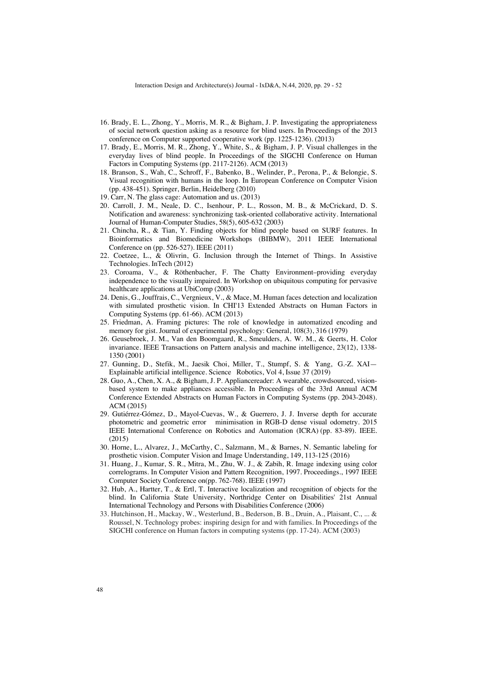- 16. Brady, E. L., Zhong, Y., Morris, M. R., & Bigham, J. P. Investigating the appropriateness of social network question asking as a resource for blind users. In Proceedings of the 2013 conference on Computer supported cooperative work (pp. 1225-1236). (2013)
- 17. Brady, E., Morris, M. R., Zhong, Y., White, S., & Bigham, J. P. Visual challenges in the everyday lives of blind people. In Proceedings of the SIGCHI Conference on Human Factors in Computing Systems (pp. 2117-2126). ACM (2013)
- 18. Branson, S., Wah, C., Schroff, F., Babenko, B., Welinder, P., Perona, P., & Belongie, S. Visual recognition with humans in the loop. In European Conference on Computer Vision (pp. 438-451). Springer, Berlin, Heidelberg (2010)
- 19. Carr, N. The glass cage: Automation and us. (2013)
- 20. Carroll, J. M., Neale, D. C., Isenhour, P. L., Rosson, M. B., & McCrickard, D. S. Notification and awareness: synchronizing task-oriented collaborative activity. International Journal of Human-Computer Studies, 58(5), 605-632 (2003)
- 21. Chincha, R., & Tian, Y. Finding objects for blind people based on SURF features. In Bioinformatics and Biomedicine Workshops (BIBMW), 2011 IEEE International Conference on (pp. 526-527). IEEE (2011)
- 22. Coetzee, L., & Olivrin, G. Inclusion through the Internet of Things. In Assistive Technologies. InTech (2012)
- 23. Coroama, V., & Röthenbacher, F. The Chatty Environment–providing everyday independence to the visually impaired. In Workshop on ubiquitous computing for pervasive healthcare applications at UbiComp (2003)
- 24. Denis, G., Jouffrais, C., Vergnieux, V., & Mace, M. Human faces detection and localization with simulated prosthetic vision. In CHI'13 Extended Abstracts on Human Factors in Computing Systems (pp. 61-66). ACM (2013)
- 25. Friedman, A. Framing pictures: The role of knowledge in automatized encoding and memory for gist. Journal of experimental psychology: General, 108(3), 316 (1979)
- 26. Geusebroek, J. M., Van den Boomgaard, R., Smeulders, A. W. M., & Geerts, H. Color invariance. IEEE Transactions on Pattern analysis and machine intelligence, 23(12), 1338- 1350 (2001)
- 27. Gunning, D., Stefik, M., Jaesik Choi, Miller, T., Stumpf, S. & Yang, G.-Z. XAI— Explainable artificial intelligence. Science Robotics, Vol 4, Issue 37 (2019)
- 28. Guo, A., Chen, X. A., & Bigham, J. P. Appliancereader: A wearable, crowdsourced, visionbased system to make appliances accessible. In Proceedings of the 33rd Annual ACM Conference Extended Abstracts on Human Factors in Computing Systems (pp. 2043-2048). ACM (2015)
- 29. Gutiérrez-Gómez, D., Mayol-Cuevas, W., & Guerrero, J. J. Inverse depth for accurate photometric and geometric error minimisation in RGB-D dense visual odometry. 2015 IEEE International Conference on Robotics and Automation (ICRA) (pp. 83-89). IEEE. (2015)
- 30. Horne, L., Alvarez, J., McCarthy, C., Salzmann, M., & Barnes, N. Semantic labeling for prosthetic vision. Computer Vision and Image Understanding, 149, 113-125 (2016)
- 31. Huang, J., Kumar, S. R., Mitra, M., Zhu, W. J., & Zabih, R. Image indexing using color correlograms. In Computer Vision and Pattern Recognition, 1997. Proceedings., 1997 IEEE Computer Society Conference on(pp. 762-768). IEEE (1997)
- 32. Hub, A., Hartter, T., & Ertl, T. Interactive localization and recognition of objects for the blind. In California State University, Northridge Center on Disabilities' 21st Annual International Technology and Persons with Disabilities Conference (2006)
- 33. Hutchinson, H., Mackay, W., Westerlund, B., Bederson, B. B., Druin, A., Plaisant, C., ... & Roussel, N. Technology probes: inspiring design for and with families. In Proceedings of the SIGCHI conference on Human factors in computing systems (pp. 17-24). ACM (2003)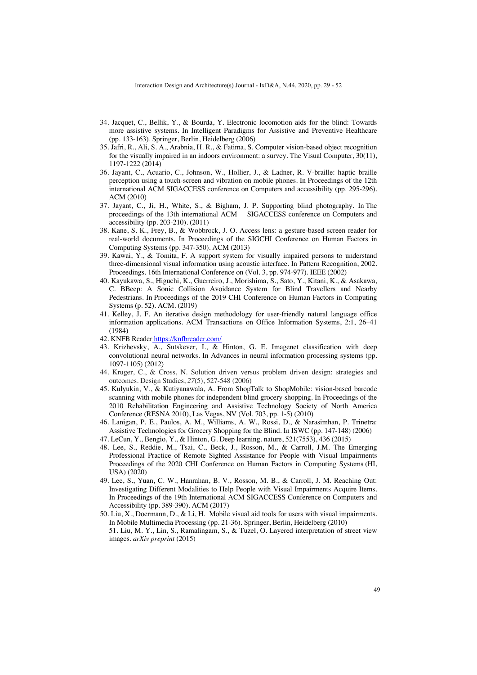- 34. Jacquet, C., Bellik, Y., & Bourda, Y. Electronic locomotion aids for the blind: Towards more assistive systems. In Intelligent Paradigms for Assistive and Preventive Healthcare (pp. 133-163). Springer, Berlin, Heidelberg (2006)
- 35. Jafri, R., Ali, S. A., Arabnia, H. R., & Fatima, S. Computer vision-based object recognition for the visually impaired in an indoors environment: a survey. The Visual Computer, 30(11), 1197-1222 (2014)
- 36. Jayant, C., Acuario, C., Johnson, W., Hollier, J., & Ladner, R. V-braille: haptic braille perception using a touch-screen and vibration on mobile phones. In Proceedings of the 12th international ACM SIGACCESS conference on Computers and accessibility (pp. 295-296). ACM (2010)
- 37. Jayant, C., Ji, H., White, S., & Bigham, J. P. Supporting blind photography. In The proceedings of the 13th international ACM SIGACCESS conference on Computers and accessibility (pp. 203-210). (2011)
- 38. Kane, S. K., Frey, B., & Wobbrock, J. O. Access lens: a gesture-based screen reader for real-world documents. In Proceedings of the SIGCHI Conference on Human Factors in Computing Systems (pp. 347-350). ACM (2013)
- 39. Kawai, Y., & Tomita, F. A support system for visually impaired persons to understand three-dimensional visual information using acoustic interface. In Pattern Recognition, 2002. Proceedings. 16th International Conference on (Vol. 3, pp. 974-977). IEEE (2002)
- 40. Kayukawa, S., Higuchi, K., Guerreiro, J., Morishima, S., Sato, Y., Kitani, K., & Asakawa, C. BBeep: A Sonic Collision Avoidance System for Blind Travellers and Nearby Pedestrians. In Proceedings of the 2019 CHI Conference on Human Factors in Computing Systems (p. 52). ACM. (2019)
- 41. Kelley, J. F. An iterative design methodology for user-friendly natural language office information applications. ACM Transactions on Office Information Systems, 2:1, 26–41 (1984)
- 42. KNFB Reader https://knfbreader.com/
- 43. Krizhevsky, A., Sutskever, I., & Hinton, G. E. Imagenet classification with deep convolutional neural networks. In Advances in neural information processing systems (pp. 1097-1105) (2012)
- 44. Kruger, C., & Cross, N. Solution driven versus problem driven design: strategies and outcomes. Design Studies, *27*(5), 527-548 (2006)
- 45. Kulyukin, V., & Kutiyanawala, A. From ShopTalk to ShopMobile: vision-based barcode scanning with mobile phones for independent blind grocery shopping. In Proceedings of the 2010 Rehabilitation Engineering and Assistive Technology Society of North America Conference (RESNA 2010), Las Vegas, NV (Vol. 703, pp. 1-5) (2010)
- 46. Lanigan, P. E., Paulos, A. M., Williams, A. W., Rossi, D., & Narasimhan, P. Trinetra: Assistive Technologies for Grocery Shopping for the Blind. In ISWC (pp. 147-148) (2006)
- 47. LeCun, Y., Bengio, Y., & Hinton, G. Deep learning. nature, 521(7553), 436 (2015)
- 48. Lee, S., Reddie, M., Tsai, C., Beck, J., Rosson, M., & Carroll, J.M. The Emerging Professional Practice of Remote Sighted Assistance for People with Visual Impairments Proceedings of the 2020 CHI Conference on Human Factors in Computing Systems (HI, USA) (2020)
- 49. Lee, S., Yuan, C. W., Hanrahan, B. V., Rosson, M. B., & Carroll, J. M. Reaching Out: Investigating Different Modalities to Help People with Visual Impairments Acquire Items. In Proceedings of the 19th International ACM SIGACCESS Conference on Computers and Accessibility (pp. 389-390). ACM (2017)
- 50. Liu, X., Doermann, D., & Li, H. Mobile visual aid tools for users with visual impairments. In Mobile Multimedia Processing (pp. 21-36). Springer, Berlin, Heidelberg (2010) 51. Liu, M. Y., Lin, S., Ramalingam, S., & Tuzel, O. Layered interpretation of street view images. *arXiv preprint* (2015)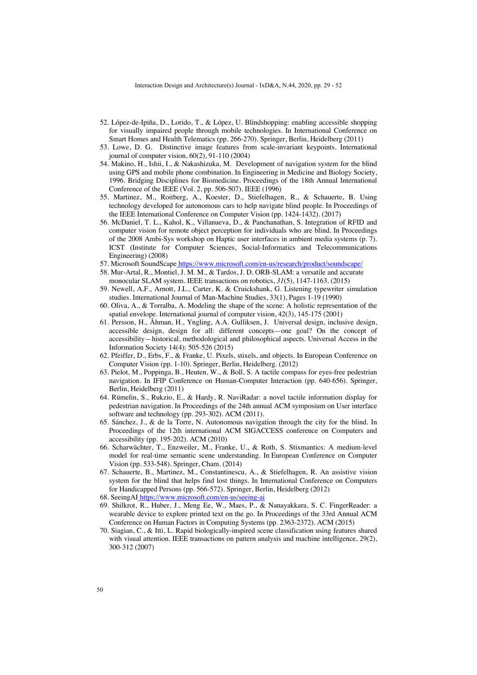- 52. López-de-Ipiña, D., Lorido, T., & López, U. Blindshopping: enabling accessible shopping for visually impaired people through mobile technologies. In International Conference on Smart Homes and Health Telematics (pp. 266-270). Springer, Berlin, Heidelberg (2011)
- 53. Lowe, D. G. Distinctive image features from scale-invariant keypoints. International journal of computer vision,  $60(2)$ ,  $91-110(2004)$
- 54. Makino, H., Ishii, I., & Nakashizuka, M. Development of navigation system for the blind using GPS and mobile phone combination. In Engineering in Medicine and Biology Society, 1996. Bridging Disciplines for Biomedicine. Proceedings of the 18th Annual International Conference of the IEEE (Vol. 2, pp. 506-507). IEEE (1996)
- 55. Martinez, M., Roitberg, A., Koester, D., Stiefelhagen, R., & Schauerte, B. Using technology developed for autonomous cars to help navigate blind people. In Proceedings of the IEEE International Conference on Computer Vision (pp. 1424-1432). (2017)
- 56. McDaniel, T. L., Kahol, K., Villanueva, D., & Panchanathan, S. Integration of RFID and computer vision for remote object perception for individuals who are blind. In Proceedings of the 2008 Ambi-Sys workshop on Haptic user interfaces in ambient media systems (p. 7). ICST (Institute for Computer Sciences, Social-Informatics and Telecommunications Engineering) (2008)
- 57. Microsoft SoundScape https://www.microsoft.com/en-us/research/product/soundscape/
- 58. Mur-Artal, R., Montiel, J. M. M., & Tardos, J. D. ORB-SLAM: a versatile and accurate monocular SLAM system. IEEE transactions on robotics, *31*(5), 1147-1163. (2015)
- 59. Newell, A.F., Arnott, J.L., Carter, K. & Cruickshank, G. Listening typewriter simulation studies. International Journal of Man-Machine Studies, 33(1), Pages 1-19 (1990)
- 60. Oliva, A., & Torralba, A. Modeling the shape of the scene: A holistic representation of the spatial envelope. International journal of computer vision, 42(3), 145-175 (2001)
- 61. Persson, H., Åhman, H., Yngling, A.A. Gulliksen, J. Universal design, inclusive design, accessible design, design for all: different concepts—one goal? On the concept of accessibility—historical, methodological and philosophical aspects. Universal Access in the Information Society 14(4): 505-526 (2015)
- 62. Pfeiffer, D., Erbs, F., & Franke, U. Pixels, stixels, and objects. In European Conference on Computer Vision (pp. 1-10). Springer, Berlin, Heidelberg. (2012)
- 63. Pielot, M., Poppinga, B., Heuten, W., & Boll, S. A tactile compass for eyes-free pedestrian navigation. In IFIP Conference on Human-Computer Interaction (pp. 640-656). Springer, Berlin, Heidelberg (2011)
- 64. Rümelin, S., Rukzio, E., & Hardy, R. NaviRadar: a novel tactile information display for pedestrian navigation. In Proceedings of the 24th annual ACM symposium on User interface software and technology (pp. 293-302). ACM (2011).
- 65. Sánchez, J., & de la Torre, N. Autonomous navigation through the city for the blind. In Proceedings of the 12th international ACM SIGACCESS conference on Computers and accessibility (pp. 195-202). ACM (2010)
- 66. Scharwächter, T., Enzweiler, M., Franke, U., & Roth, S. Stixmantics: A medium-level model for real-time semantic scene understanding. In European Conference on Computer Vision (pp. 533-548). Springer, Cham. (2014)
- 67. Schauerte, B., Martinez, M., Constantinescu, A., & Stiefelhagen, R. An assistive vision system for the blind that helps find lost things. In International Conference on Computers for Handicapped Persons (pp. 566-572). Springer, Berlin, Heidelberg (2012)
- 68. SeeingAI https://www.microsoft.com/en-us/seeing-ai
- 69. Shilkrot, R., Huber, J., Meng Ee, W., Maes, P., & Nanayakkara, S. C. FingerReader: a wearable device to explore printed text on the go. In Proceedings of the 33rd Annual ACM Conference on Human Factors in Computing Systems (pp. 2363-2372). ACM (2015)
- 70. Siagian, C., & Itti, L. Rapid biologically-inspired scene classification using features shared with visual attention. IEEE transactions on pattern analysis and machine intelligence, 29(2), 300-312 (2007)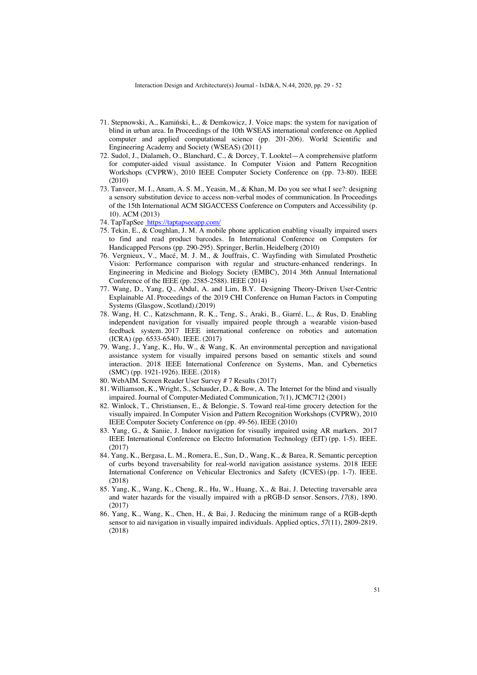- 71. Stepnowski, A., Kamiński, Ł., & Demkowicz, J. Voice maps: the system for navigation of blind in urban area. In Proceedings of the 10th WSEAS international conference on Applied computer and applied computational science (pp. 201-206). World Scientific and Engineering Academy and Society (WSEAS) (2011)
- 72. Sudol, J., Dialameh, O., Blanchard, C., & Dorcey, T. Looktel—A comprehensive platform for computer-aided visual assistance. In Computer Vision and Pattern Recognition Workshops (CVPRW), 2010 IEEE Computer Society Conference on (pp. 73-80). IEEE (2010)
- 73. Tanveer, M. I., Anam, A. S. M., Yeasin, M., & Khan, M. Do you see what I see?: designing a sensory substitution device to access non-verbal modes of communication. In Proceedings of the 15th International ACM SIGACCESS Conference on Computers and Accessibility (p. 10). ACM (2013)
- 74. TapTapSee https://taptapseeapp.com/
- 75. Tekin, E., & Coughlan, J. M. A mobile phone application enabling visually impaired users to find and read product barcodes. In International Conference on Computers for Handicapped Persons (pp. 290-295). Springer, Berlin, Heidelberg (2010)
- 76. Vergnieux, V., Macé, M. J. M., & Jouffrais, C. Wayfinding with Simulated Prosthetic Vision: Performance comparison with regular and structure-enhanced renderings. In Engineering in Medicine and Biology Society (EMBC), 2014 36th Annual International Conference of the IEEE (pp. 2585-2588). IEEE (2014)
- 77. Wang, D., Yang, Q., Abdul, A. and Lim, B.Y. Designing Theory-Driven User-Centric Explainable AI. Proceedings of the 2019 CHI Conference on Human Factors in Computing Systems (Glasgow, Scotland).(2019)
- 78. Wang, H. C., Katzschmann, R. K., Teng, S., Araki, B., Giarré, L., & Rus, D. Enabling independent navigation for visually impaired people through a wearable vision-based feedback system. 2017 IEEE international conference on robotics and automation (ICRA) (pp. 6533-6540). IEEE. (2017)
- 79. Wang, J., Yang, K., Hu, W., & Wang, K. An environmental perception and navigational assistance system for visually impaired persons based on semantic stixels and sound interaction. 2018 IEEE International Conference on Systems, Man, and Cybernetics (SMC) (pp. 1921-1926). IEEE. (2018)
- 80. WebAIM. Screen Reader User Survey # 7 Results (2017)
- 81. Williamson, K., Wright, S., Schauder, D., & Bow, A. The Internet for the blind and visually impaired. Journal of Computer-Mediated Communication, 7(1), JCMC712 (2001)
- 82. Winlock, T., Christiansen, E., & Belongie, S. Toward real-time grocery detection for the visually impaired. In Computer Vision and Pattern Recognition Workshops (CVPRW), 2010 IEEE Computer Society Conference on (pp. 49-56). IEEE (2010)
- 83. Yang, G., & Saniie, J. Indoor navigation for visually impaired using AR markers. 2017 IEEE International Conference on Electro Information Technology (EIT) (pp. 1-5). IEEE. (2017)
- 84. Yang, K., Bergasa, L. M., Romera, E., Sun, D., Wang, K., & Barea, R. Semantic perception of curbs beyond traversability for real-world navigation assistance systems. 2018 IEEE International Conference on Vehicular Electronics and Safety (ICVES) (pp. 1-7). IEEE. (2018)
- 85. Yang, K., Wang, K., Cheng, R., Hu, W., Huang, X., & Bai, J. Detecting traversable area and water hazards for the visually impaired with a pRGB-D sensor. Sensors, *17*(8), 1890. (2017)
- 86. Yang, K., Wang, K., Chen, H., & Bai, J. Reducing the minimum range of a RGB-depth sensor to aid navigation in visually impaired individuals. Applied optics, *57*(11), 2809-2819. (2018)